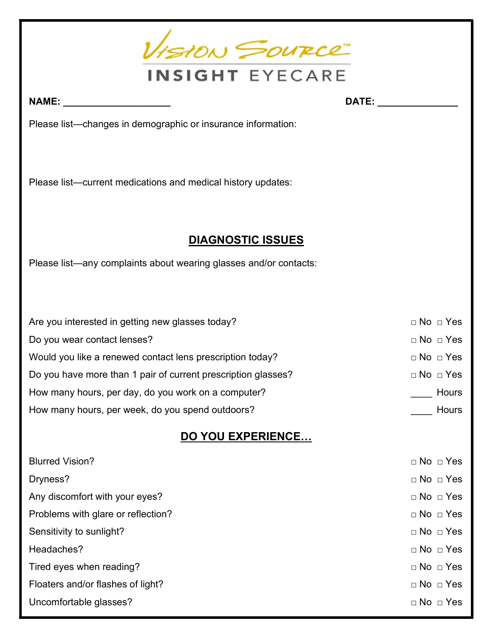

NAME: \_\_\_\_\_\_\_\_\_\_\_\_\_\_\_\_\_\_\_\_ DATE: \_\_\_\_\_\_\_\_\_\_\_\_\_\_\_

Please list—changes in demographic or insurance information:

Please list—current medications and medical history updates:

### DIAGNOSTIC ISSUES

Please list—any complaints about wearing glasses and/or contacts:

| Are you interested in getting new glasses today?              | $\Box$ No $\Box$ Yes |
|---------------------------------------------------------------|----------------------|
| Do you wear contact lenses?                                   | $\Box$ No $\Box$ Yes |
| Would you like a renewed contact lens prescription today?     | $\Box$ No $\Box$ Yes |
| Do you have more than 1 pair of current prescription glasses? | $\Box$ No $\Box$ Yes |
| How many hours, per day, do you work on a computer?           | Hours                |
| How many hours, per week, do you spend outdoors?              | Hours                |

### DO YOU EXPERIENCE…

| <b>Blurred Vision?</b>             | $\Box$ No $\Box$ Yes |
|------------------------------------|----------------------|
| Dryness?                           | $\Box$ No $\Box$ Yes |
| Any discomfort with your eyes?     | $\Box$ No $\Box$ Yes |
| Problems with glare or reflection? | $\Box$ No $\Box$ Yes |
| Sensitivity to sunlight?           | $\Box$ No $\Box$ Yes |
| Headaches?                         | $\Box$ No $\Box$ Yes |
| Tired eyes when reading?           | $\Box$ No $\Box$ Yes |
| Floaters and/or flashes of light?  | $\Box$ No $\Box$ Yes |
| Uncomfortable glasses?             | $\Box$ No $\Box$ Yes |
|                                    |                      |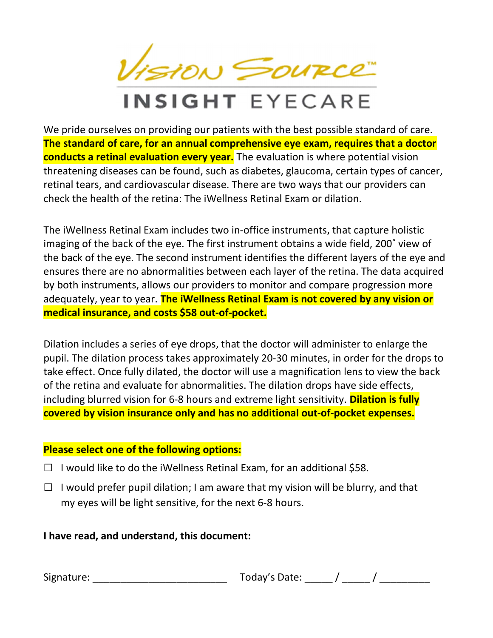VISION SOURCE

## INSIGHT EYECARE

We pride ourselves on providing our patients with the best possible standard of care. The standard of care, for an annual comprehensive eye exam, requires that a doctor conducts a retinal evaluation every year. The evaluation is where potential vision threatening diseases can be found, such as diabetes, glaucoma, certain types of cancer, retinal tears, and cardiovascular disease. There are two ways that our providers can check the health of the retina: The iWellness Retinal Exam or dilation.

The iWellness Retinal Exam includes two in-office instruments, that capture holistic imaging of the back of the eye. The first instrument obtains a wide field, 200˚ view of the back of the eye. The second instrument identifies the different layers of the eye and ensures there are no abnormalities between each layer of the retina. The data acquired by both instruments, allows our providers to monitor and compare progression more adequately, year to year. The iWellness Retinal Exam is not covered by any vision or medical insurance, and costs \$58 out-of-pocket.

Dilation includes a series of eye drops, that the doctor will administer to enlarge the pupil. The dilation process takes approximately 20-30 minutes, in order for the drops to take effect. Once fully dilated, the doctor will use a magnification lens to view the back of the retina and evaluate for abnormalities. The dilation drops have side effects, including blurred vision for 6-8 hours and extreme light sensitivity. **Dilation is fully** covered by vision insurance only and has no additional out-of-pocket expenses.

### Please select one of the following options:

- $\Box$  I would like to do the iWellness Retinal Exam, for an additional \$58.
- $\Box$  I would prefer pupil dilation; I am aware that my vision will be blurry, and that my eyes will be light sensitive, for the next 6-8 hours.

### I have read, and understand, this document:

| Signature: | Today's Date: |
|------------|---------------|
|------------|---------------|